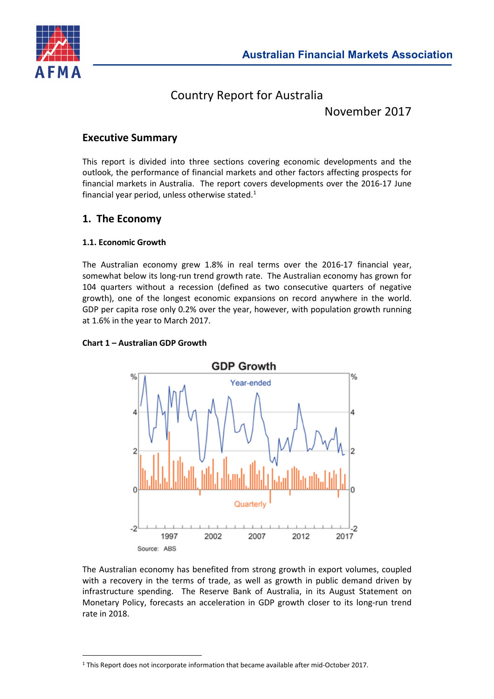

# Country Report for Australia

November 2017

# **Executive Summary**

This report is divided into three sections covering economic developments and the outlook, the performance of financial markets and other factors affecting prospects for financial markets in Australia. The report covers developments over the 2016-17 June financial year period, unless otherwise stated. $1$ 

# **1. The Economy**

# **1.1. Economic Growth**

 $\overline{a}$ 

The Australian economy grew 1.8% in real terms over the 2016-17 financial year, somewhat below its long-run trend growth rate. The Australian economy has grown for 104 quarters without a recession (defined as two consecutive quarters of negative growth), one of the longest economic expansions on record anywhere in the world. GDP per capita rose only 0.2% over the year, however, with population growth running at 1.6% in the year to March 2017.

# **Chart 1 – Australian GDP Growth**



The Australian economy has benefited from strong growth in export volumes, coupled with a recovery in the terms of trade, as well as growth in public demand driven by infrastructure spending. The Reserve Bank of Australia, in its August Statement on Monetary Policy, forecasts an acceleration in GDP growth closer to its long-run trend rate in 2018.

<span id="page-0-0"></span><sup>1</sup> This Report does not incorporate information that became available after mid-October 2017.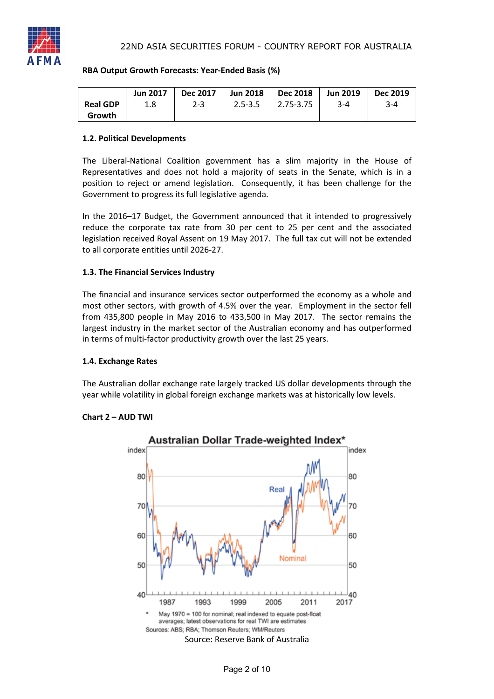

# **RBA Output Growth Forecasts: Year-Ended Basis (%)**

|                 | <b>Jun 2017</b> | <b>Dec 2017</b> | <b>Jun 2018</b> | <b>Dec 2018</b>  | <b>Jun 2019</b> | <b>Dec 2019</b> |
|-----------------|-----------------|-----------------|-----------------|------------------|-----------------|-----------------|
| <b>Real GDP</b> | 1.8             | $2 - 3$         | $2.5 - 3.5$     | $\mid$ 2.75-3.75 | $3 - 4$         | $3 - 4$         |
| Growth          |                 |                 |                 |                  |                 |                 |

### **1.2. Political Developments**

The Liberal-National Coalition government has a slim majority in the House of Representatives and does not hold a majority of seats in the Senate, which is in a position to reject or amend legislation. Consequently, it has been challenge for the Government to progress its full legislative agenda.

In the 2016–17 Budget, the Government announced that it intended to progressively reduce the corporate tax rate from 30 per cent to 25 per cent and the associated legislation received Royal Assent on 19 May 2017. The full tax cut will not be extended to all corporate entities until 2026-27.

# **1.3. The Financial Services Industry**

The financial and insurance services sector outperformed the economy as a whole and most other sectors, with growth of 4.5% over the year. Employment in the sector fell from 435,800 people in May 2016 to 433,500 in May 2017. The sector remains the largest industry in the market sector of the Australian economy and has outperformed in terms of multi-factor productivity growth over the last 25 years.

#### **1.4. Exchange Rates**

The Australian dollar exchange rate largely tracked US dollar developments through the year while volatility in global foreign exchange markets was at historically low levels.



# **Chart 2 – AUD TWI**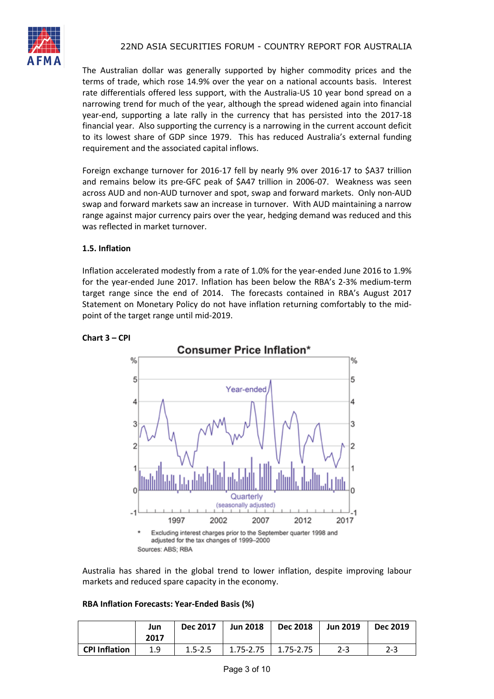

The Australian dollar was generally supported by higher commodity prices and the terms of trade, which rose 14.9% over the year on a national accounts basis. Interest rate differentials offered less support, with the Australia-US 10 year bond spread on a narrowing trend for much of the year, although the spread widened again into financial year-end, supporting a late rally in the currency that has persisted into the 2017-18 financial year. Also supporting the currency is a narrowing in the current account deficit to its lowest share of GDP since 1979. This has reduced Australia's external funding requirement and the associated capital inflows.

Foreign exchange turnover for 2016-17 fell by nearly 9% over 2016-17 to \$A37 trillion and remains below its pre-GFC peak of \$A47 trillion in 2006-07. Weakness was seen across AUD and non-AUD turnover and spot, swap and forward markets. Only non-AUD swap and forward markets saw an increase in turnover. With AUD maintaining a narrow range against major currency pairs over the year, hedging demand was reduced and this was reflected in market turnover.

# **1.5. Inflation**

Inflation accelerated modestly from a rate of 1.0% for the year-ended June 2016 to 1.9% for the year-ended June 2017. Inflation has been below the RBA's 2-3% medium-term target range since the end of 2014. The forecasts contained in RBA's August 2017 Statement on Monetary Policy do not have inflation returning comfortably to the midpoint of the target range until mid-2019.



### **Chart 3 – CPI**

Australia has shared in the global trend to lower inflation, despite improving labour markets and reduced spare capacity in the economy.

# **RBA Inflation Forecasts: Year-Ended Basis (%)**

|                      | Jun<br>2017 | <b>Dec 2017</b> | <b>Jun 2018</b> | <b>Dec 2018</b> | <b>Jun 2019</b> | <b>Dec 2019</b> |
|----------------------|-------------|-----------------|-----------------|-----------------|-----------------|-----------------|
| <b>CPI Inflation</b> | 1.9         | $1.5 - 2.5$     | 1.75-2.75       | 1.75-2.75       | $2 - 3$         | 2-3             |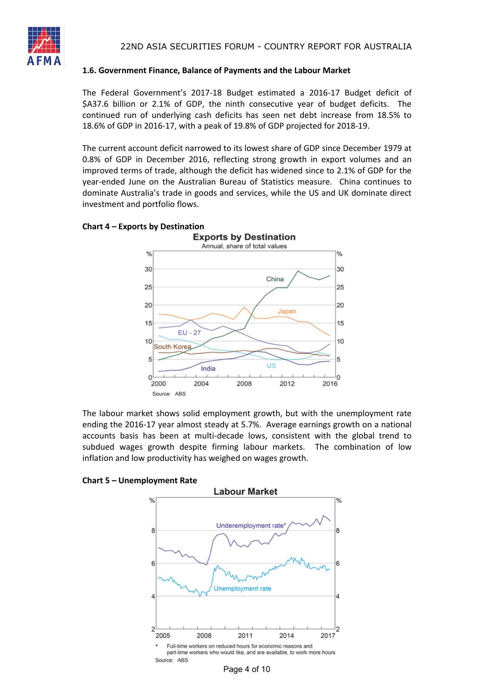

#### **1.6. Government Finance, Balance of Payments and the Labour Market**

The Federal Government's 2017-18 Budget estimated a 2016-17 Budget deficit of \$A37.6 billion or 2.1% of GDP, the ninth consecutive year of budget deficits. The continued run of underlying cash deficits has seen net debt increase from 18.5% to 18.6% of GDP in 2016-17, with a peak of 19.8% of GDP projected for 2018-19.

The current account deficit narrowed to its lowest share of GDP since December 1979 at 0.8% of GDP in December 2016, reflecting strong growth in export volumes and an improved terms of trade, although the deficit has widened since to 2.1% of GDP for the year-ended June on the Australian Bureau of Statistics measure. China continues to dominate Australia's trade in goods and services, while the US and UK dominate direct investment and portfolio flows.

#### **Chart 4 – Exports by Destination**



The labour market shows solid employment growth, but with the unemployment rate ending the 2016-17 year almost steady at 5.7%. Average earnings growth on a national accounts basis has been at multi-decade lows, consistent with the global trend to subdued wages growth despite firming labour markets. The combination of low inflation and low productivity has weighed on wages growth.

٥,

R

6



**Chart 5 – Unemployment Rate**

Page 4 of 10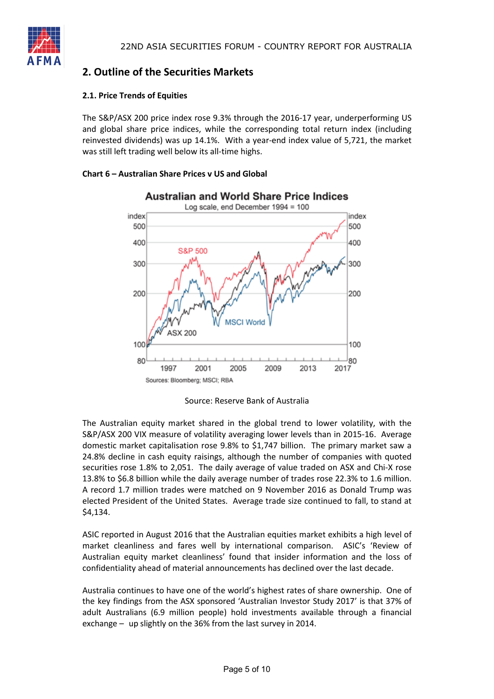

# **2. Outline of the Securities Markets**

### **2.1. Price Trends of Equities**

The S&P/ASX 200 price index rose 9.3% through the 2016-17 year, underperforming US and global share price indices, while the corresponding total return index (including reinvested dividends) was up 14.1%. With a year-end index value of 5,721, the market was still left trading well below its all-time highs.

### **Chart 6 – Australian Share Prices v US and Global**



Source: Reserve Bank of Australia

The Australian equity market shared in the global trend to lower volatility, with the S&P/ASX 200 VIX measure of volatility averaging lower levels than in 2015-16. Average domestic market capitalisation rose 9.8% to \$1,747 billion. The primary market saw a 24.8% decline in cash equity raisings, although the number of companies with quoted securities rose 1.8% to 2,051. The daily average of value traded on ASX and Chi-X rose 13.8% to \$6.8 billion while the daily average number of trades rose 22.3% to 1.6 million. A record 1.7 million trades were matched on 9 November 2016 as Donald Trump was elected President of the United States. Average trade size continued to fall, to stand at \$4,134.

ASIC reported in August 2016 that the Australian equities market exhibits a high level of market cleanliness and fares well by international comparison. ASIC's 'Review of Australian equity market cleanliness' found that insider information and the loss of confidentiality ahead of material announcements has declined over the last decade.

Australia continues to have one of the world's highest rates of share ownership. One of the key findings from the ASX sponsored 'Australian Investor Study 2017' is that 37% of adult Australians (6.9 million people) hold investments available through a financial exchange – up slightly on the 36% from the last survey in 2014.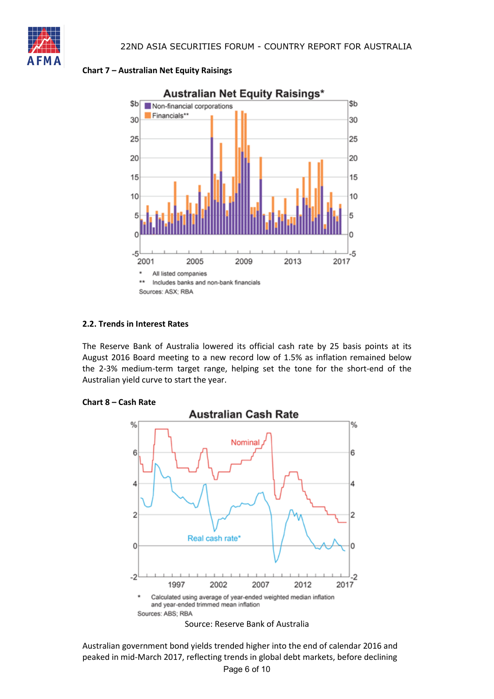

### **Chart 7 – Australian Net Equity Raisings**



## **2.2. Trends in Interest Rates**

The Reserve Bank of Australia lowered its official cash rate by 25 basis points at its August 2016 Board meeting to a new record low of 1.5% as inflation remained below the 2-3% medium-term target range, helping set the tone for the short-end of the Australian yield curve to start the year.

#### **Chart 8 – Cash Rate**



Page 6 of 10 Australian government bond yields trended higher into the end of calendar 2016 and peaked in mid-March 2017, reflecting trends in global debt markets, before declining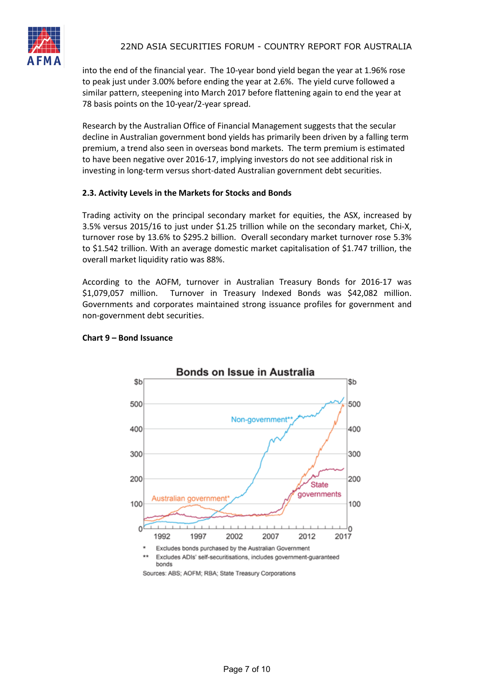into the end of the financial year. The 10-year bond yield began the year at 1.96% rose to peak just under 3.00% before ending the year at 2.6%. The yield curve followed a similar pattern, steepening into March 2017 before flattening again to end the year at 78 basis points on the 10-year/2-year spread.

Research by the Australian Office of Financial Management suggests that the secular decline in Australian government bond yields has primarily been driven by a falling term premium, a trend also seen in overseas bond markets. The term premium is estimated to have been negative over 2016-17, implying investors do not see additional risk in investing in long-term versus short-dated Australian government debt securities.

#### **2.3. Activity Levels in the Markets for Stocks and Bonds**

Trading activity on the principal secondary market for equities, the ASX, increased by 3.5% versus 2015/16 to just under \$1.25 trillion while on the secondary market, Chi-X, turnover rose by 13.6% to \$295.2 billion. Overall secondary market turnover rose 5.3% to \$1.542 trillion. With an average domestic market capitalisation of \$1.747 trillion, the overall market liquidity ratio was 88%.

According to the AOFM, turnover in Australian Treasury Bonds for 2016-17 was \$1,079,057 million. Turnover in Treasury Indexed Bonds was \$42,082 million. Governments and corporates maintained strong issuance profiles for government and non-government debt securities.



# **Chart 9 – Bond Issuance**

Sources: ABS; AOFM; RBA; State Treasury Corporations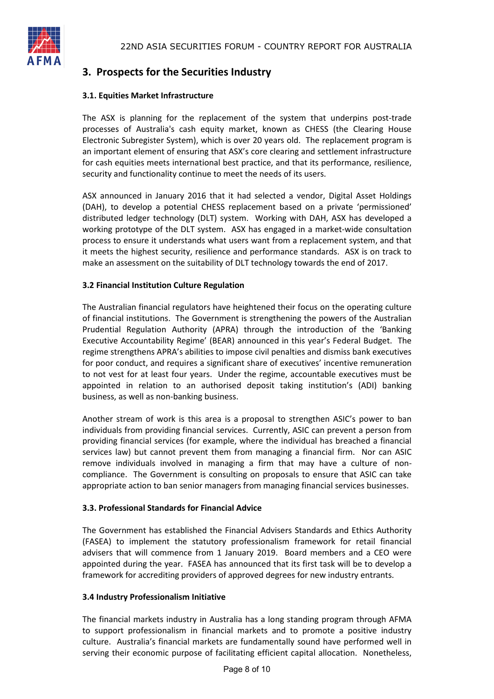

# **3. Prospects for the Securities Industry**

## **3.1. Equities Market Infrastructure**

The ASX is planning for the replacement of the system that underpins post-trade processes of Australia's cash equity market, known as CHESS (the Clearing House Electronic Subregister System), which is over 20 years old. The replacement program is an important element of ensuring that ASX's core clearing and settlement infrastructure for cash equities meets international best practice, and that its performance, resilience, security and functionality continue to meet the needs of its users.

ASX announced in January 2016 that it had selected a vendor, Digital Asset Holdings (DAH), to develop a potential CHESS replacement based on a private 'permissioned' distributed ledger technology (DLT) system. Working with DAH, ASX has developed a working prototype of the DLT system. ASX has engaged in a market-wide consultation process to ensure it understands what users want from a replacement system, and that it meets the highest security, resilience and performance standards. ASX is on track to make an assessment on the suitability of DLT technology towards the end of 2017.

### **3.2 Financial Institution Culture Regulation**

The Australian financial regulators have heightened their focus on the operating culture of financial institutions. The Government is strengthening the powers of the Australian Prudential Regulation Authority (APRA) through the introduction of the 'Banking Executive Accountability Regime' (BEAR) announced in this year's Federal Budget. The regime strengthens APRA's abilities to impose civil penalties and dismiss bank executives for poor conduct, and requires a significant share of executives' incentive remuneration to not vest for at least four years. Under the regime, accountable executives must be appointed in relation to an authorised deposit taking institution's (ADI) banking business, as well as non-banking business.

Another stream of work is this area is a proposal to strengthen ASIC's power to ban individuals from providing financial services. Currently, ASIC can prevent a person from providing financial services (for example, where the individual has breached a financial services law) but cannot prevent them from managing a financial firm. Nor can ASIC remove individuals involved in managing a firm that may have a culture of noncompliance. The Government is consulting on proposals to ensure that ASIC can take appropriate action to ban senior managers from managing financial services businesses.

#### **3.3. Professional Standards for Financial Advice**

The Government has established the Financial Advisers Standards and Ethics Authority (FASEA) to implement the statutory professionalism framework for retail financial advisers that will commence from 1 January 2019. Board members and a CEO were appointed during the year. FASEA has announced that its first task will be to develop a framework for accrediting providers of approved degrees for new industry entrants.

#### **3.4 Industry Professionalism Initiative**

The financial markets industry in Australia has a long standing program through AFMA to support professionalism in financial markets and to promote a positive industry culture. Australia's financial markets are fundamentally sound have performed well in serving their economic purpose of facilitating efficient capital allocation. Nonetheless,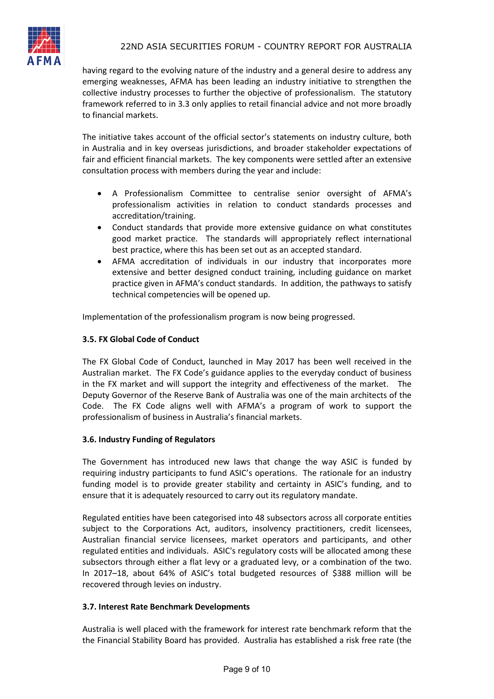

having regard to the evolving nature of the industry and a general desire to address any emerging weaknesses, AFMA has been leading an industry initiative to strengthen the collective industry processes to further the objective of professionalism. The statutory framework referred to in 3.3 only applies to retail financial advice and not more broadly to financial markets.

The initiative takes account of the official sector's statements on industry culture, both in Australia and in key overseas jurisdictions, and broader stakeholder expectations of fair and efficient financial markets. The key components were settled after an extensive consultation process with members during the year and include:

- A Professionalism Committee to centralise senior oversight of AFMA's professionalism activities in relation to conduct standards processes and accreditation/training.
- Conduct standards that provide more extensive guidance on what constitutes good market practice. The standards will appropriately reflect international best practice, where this has been set out as an accepted standard.
- AFMA accreditation of individuals in our industry that incorporates more extensive and better designed conduct training, including guidance on market practice given in AFMA's conduct standards. In addition, the pathways to satisfy technical competencies will be opened up.

Implementation of the professionalism program is now being progressed.

### **3.5. FX Global Code of Conduct**

The FX Global Code of Conduct, launched in May 2017 has been well received in the Australian market. The FX Code's guidance applies to the everyday conduct of business in the FX market and will support the integrity and effectiveness of the market. The Deputy Governor of the Reserve Bank of Australia was one of the main architects of the Code. The FX Code aligns well with AFMA's a program of work to support the professionalism of business in Australia's financial markets.

#### **3.6. Industry Funding of Regulators**

The Government has introduced new laws that change the way ASIC is funded by requiring industry participants to fund ASIC's operations. The rationale for an industry funding model is to provide greater stability and certainty in ASIC's funding, and to ensure that it is adequately resourced to carry out its regulatory mandate.

Regulated entities have been categorised into 48 subsectors across all corporate entities subject to the Corporations Act, auditors, insolvency practitioners, credit licensees, Australian financial service licensees, market operators and participants, and other regulated entities and individuals. ASIC's regulatory costs will be allocated among these subsectors through either a flat levy or a graduated levy, or a combination of the two. In 2017–18, about 64% of ASIC's total budgeted resources of \$388 million will be recovered through levies on industry.

#### **3.7. Interest Rate Benchmark Developments**

Australia is well placed with the framework for interest rate benchmark reform that the the Financial Stability Board has provided. Australia has established a risk free rate (the